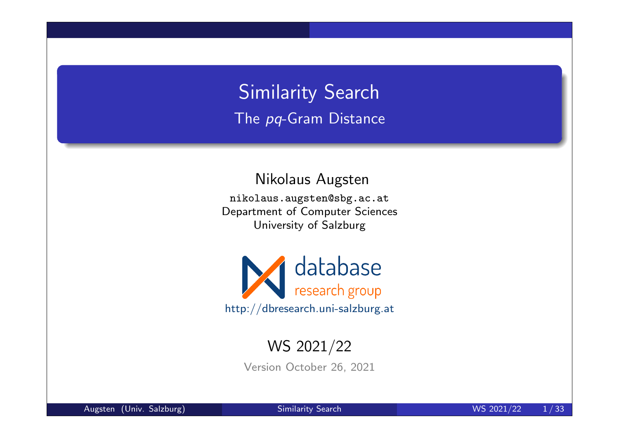# Similarity Search The pq-Gram Distance

Nikolaus Augsten

nikolaus.augsten@sbg.ac.at Department of Computer Sciences University of Salzburg



## WS 2021/22

Version October 26, 2021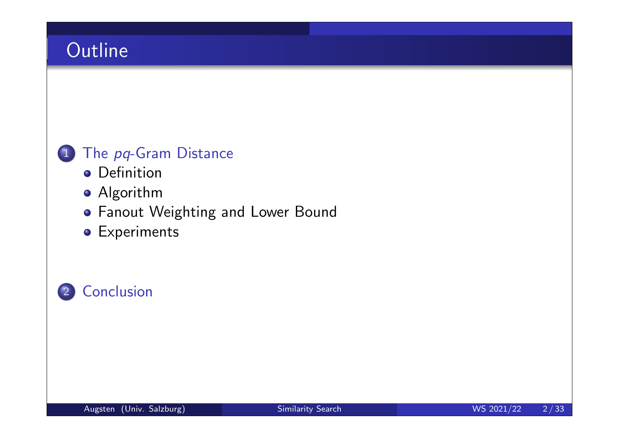# **Outline**

## 1 The pq-Gram Distance

- **o** Definition
- Algorithm
- Fanout Weighting and Lower Bound
- **•** Experiments

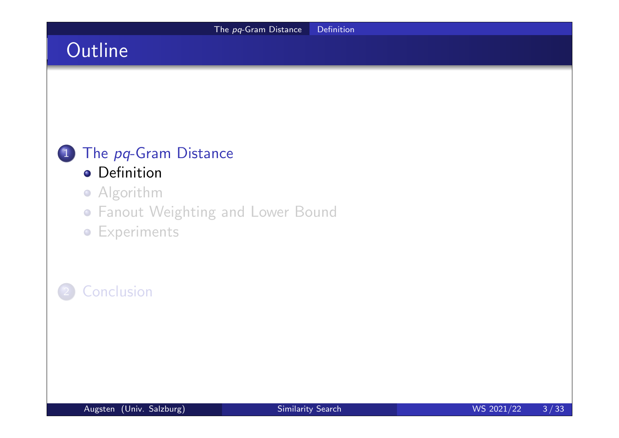# The pq-Gram Distance Definition **Outline** 1 The pq-Gram Distance **o** Definition **•** Algorithm Fanout Weighting and Lower Bound **•** Experiments **Conclusion**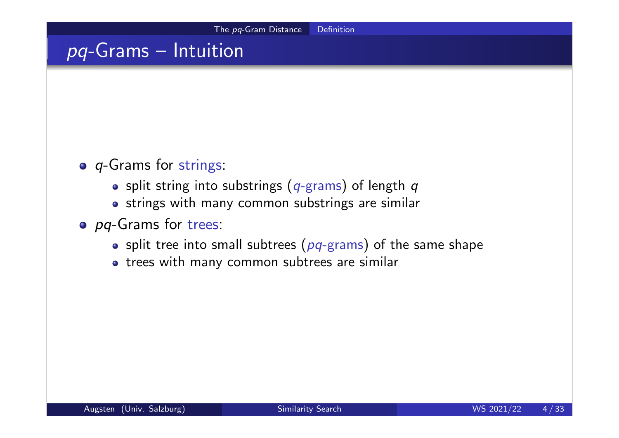# pq-Grams – Intuition

- o *q*-Grams for strings:
	- o split string into substrings ( $q$ -grams) of length  $q$
	- strings with many common substrings are similar
- o pq-Grams for trees:
	- split tree into small subtrees ( $pq$ -grams) of the same shape
	- trees with many common subtrees are similar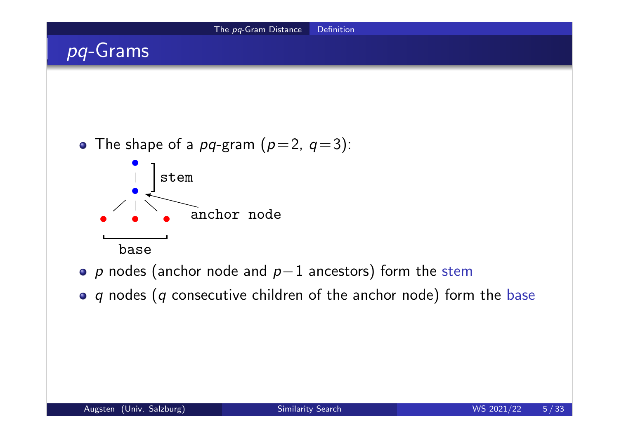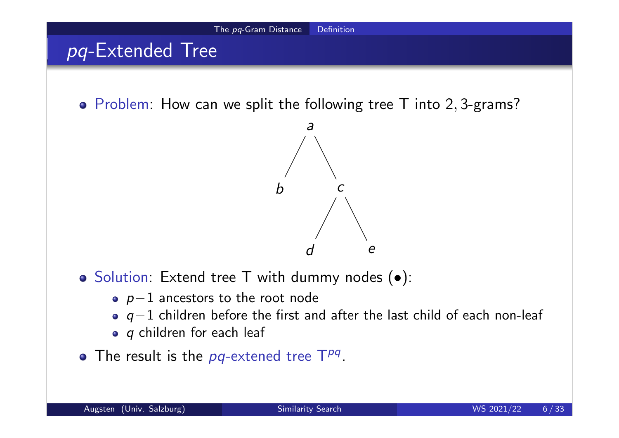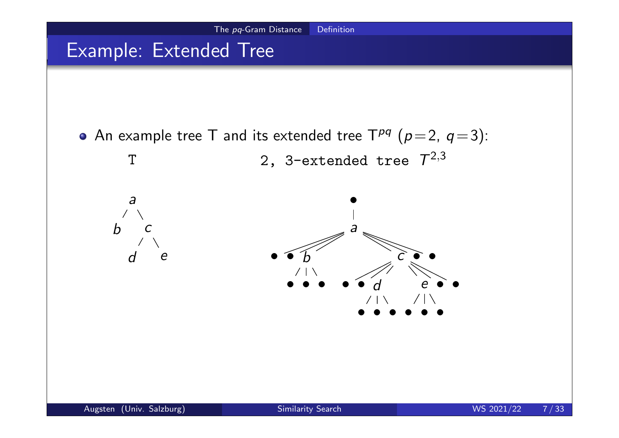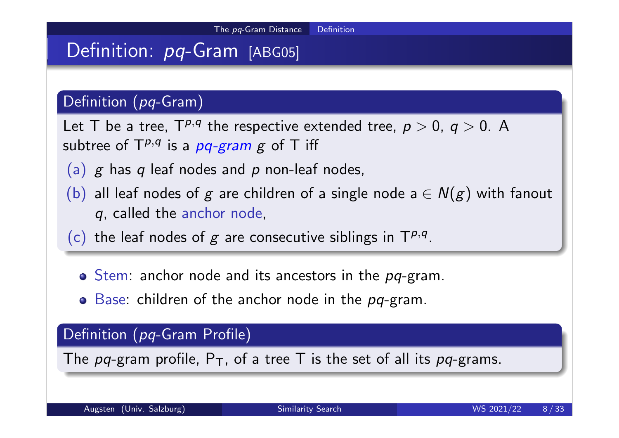## Definition: pq-Gram [ABG05]

#### Definition (pq-Gram)

Let T be a tree,  $T^{p,q}$  the respective extended tree,  $p > 0$ ,  $q > 0$ . A subtree of  $\mathsf{T}^{p,q}$  is a  $pq$ -gram  $g$  of  $\mathsf T$  iff

- (a)  $g$  has  $q$  leaf nodes and  $p$  non-leaf nodes,
- (b) all leaf nodes of g are children of a single node  $a \in N(g)$  with fanout q, called the anchor node,
- (c) the leaf nodes of g are consecutive siblings in  $T^{p,q}$ .
	- $\circ$  Stem: anchor node and its ancestors in the  $pq$ -gram.
	- $\bullet$  Base: children of the anchor node in the pq-gram.

#### Definition (pq-Gram Profile)

The pq-gram profile,  $P_T$ , of a tree T is the set of all its pq-grams.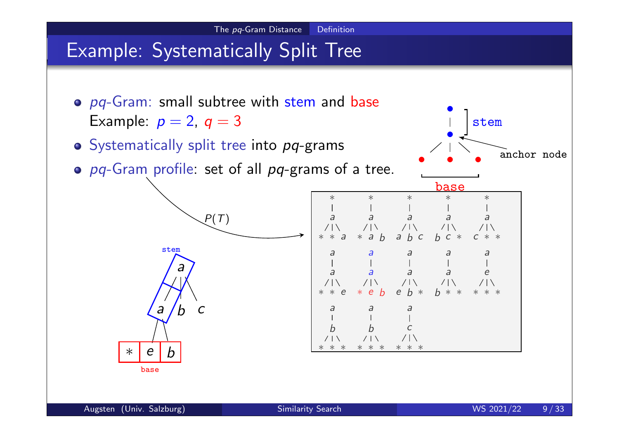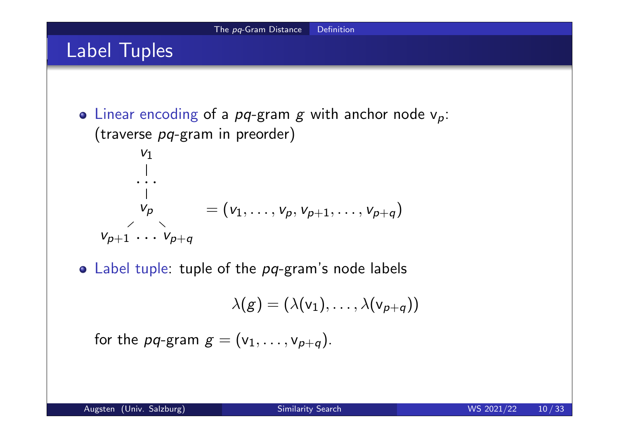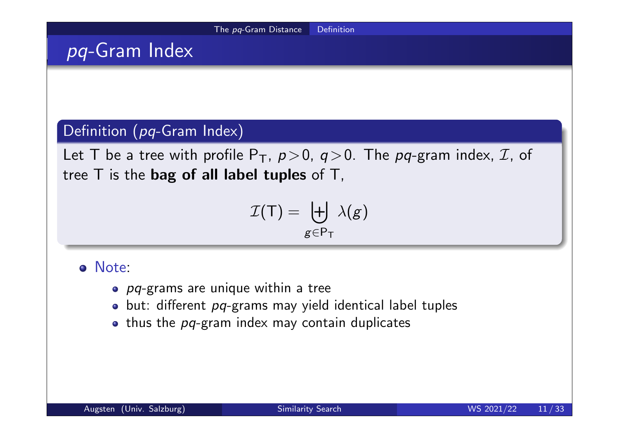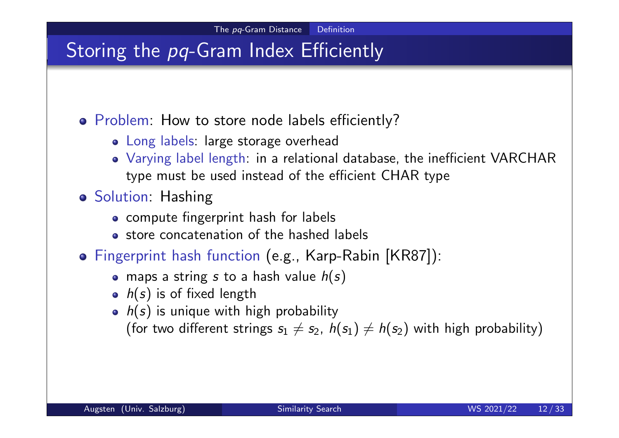## Storing the pq-Gram Index Efficiently

Problem: How to store node labels efficiently?

- Long labels: large storage overhead
- Varying label length: in a relational database, the inefficient VARCHAR type must be used instead of the efficient CHAR type
- **o** Solution: Hashing
	- compute fingerprint hash for labels
	- store concatenation of the hashed labels
- Fingerprint hash function (e.g., Karp-Rabin [KR87]):
	- maps a string s to a hash value  $h(s)$
	- $h(s)$  is of fixed length
	- $\bullet$   $h(s)$  is unique with high probability
		- (for two different strings  $s_1 \neq s_2$ ,  $h(s_1) \neq h(s_2)$  with high probability)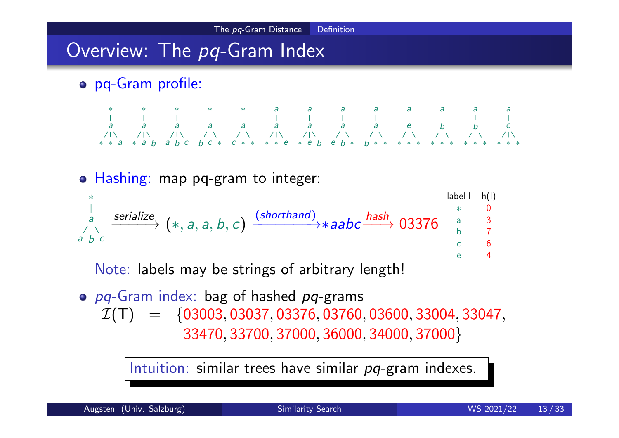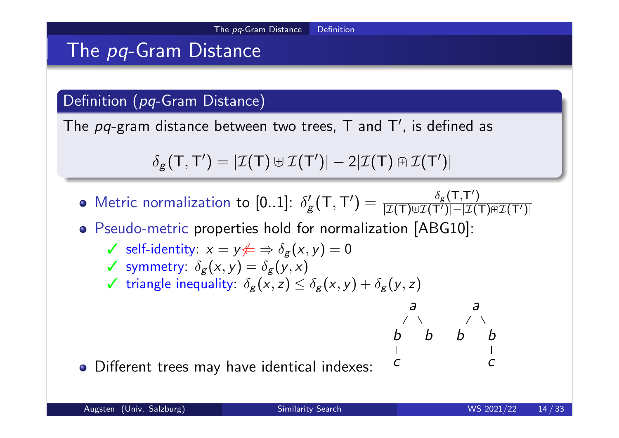## The pq-Gram Distance

#### Definition (pq-Gram Distance)

The  $pq$ -gram distance between two trees, T and T', is defined as

$$
\delta_{\mathbf{g}}(\mathsf{T},\mathsf{T}') = |\mathcal{I}(\mathsf{T}) \uplus \mathcal{I}(\mathsf{T}')| - 2|\mathcal{I}(\mathsf{T}) \cap \mathcal{I}(\mathsf{T}')|
$$

Metric normalization to  $[0..1]$ :  $\delta'_{\rm g}$  $\zeta_g'(\mathsf{T},\mathsf{T}') = \frac{\delta_g(\mathsf{T},\mathsf{T}'))}{|\mathcal{I}(\mathsf{T}) \uplus \mathcal{I}(\mathsf{T}')|-|\mathcal{I}(\mathsf{T})|}$  $|\mathcal{I}(\mathsf{T})$ ⊎ $\mathcal{I}(\mathsf{T}')|-|\mathcal{I}(\mathsf{T})$ A $\mathcal{I}(\mathsf{T}')|$ 

Pseudo-metric properties hold for normalization [ABG10]:

- $\checkmark$  self-identity:  $x = y \not\Leftarrow \Rightarrow \delta_g(x, y) = 0$
- $\checkmark$  symmetry:  $\delta_g(x,y) = \delta_g(y,x)$
- $\checkmark$  triangle inequality:  $\delta_g(x,z) \leq \delta_g(x,y) + \delta_g(y,z)$

Different trees may have identical indexes:

a

b b

c

a

b b

c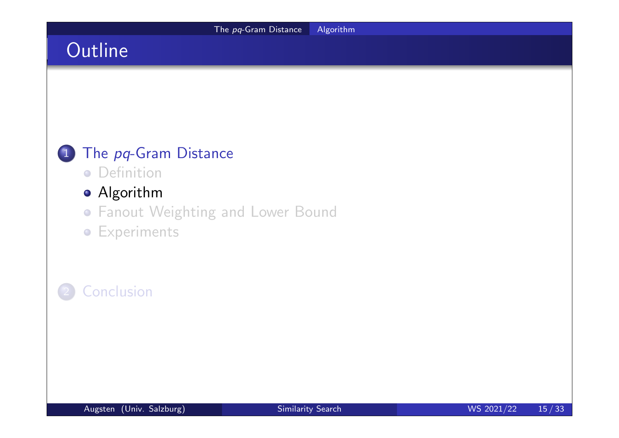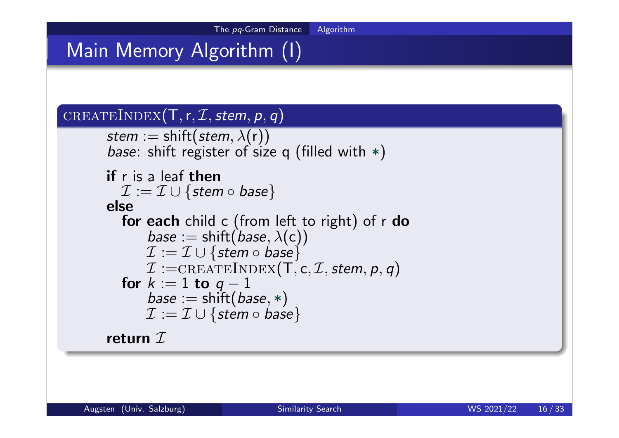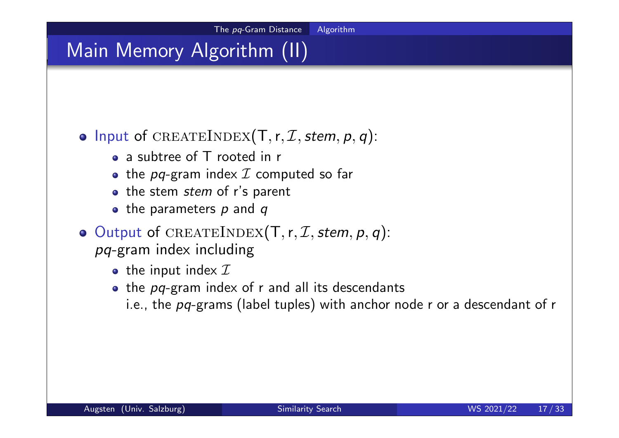# Main Memory Algorithm (II)

## • Input of CREATEINDEX(T, r,  $I$ , stem, p, q):

- a subtree of T rooted in r
- the pq-gram index  $I$  computed so far
- the stem stem of r's parent
- the parameters  $p$  and  $q$
- $\bullet$  Output of CREATEINDEX(T, r, *I*, stem, p, q): pq-gram index including
	- the input index  $I$
	- $\bullet$  the pq-gram index of r and all its descendants
		- i.e., the  $pq$ -grams (label tuples) with anchor node r or a descendant of r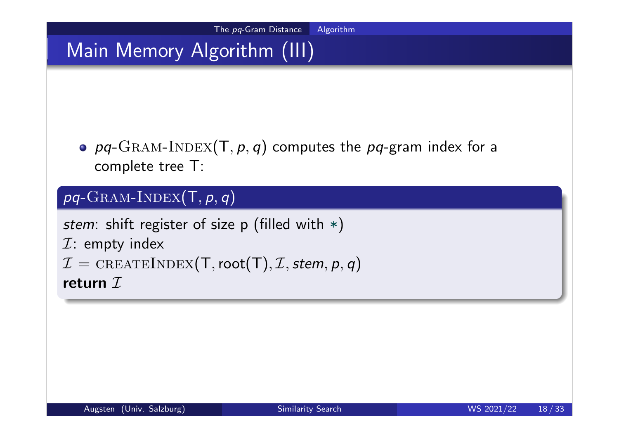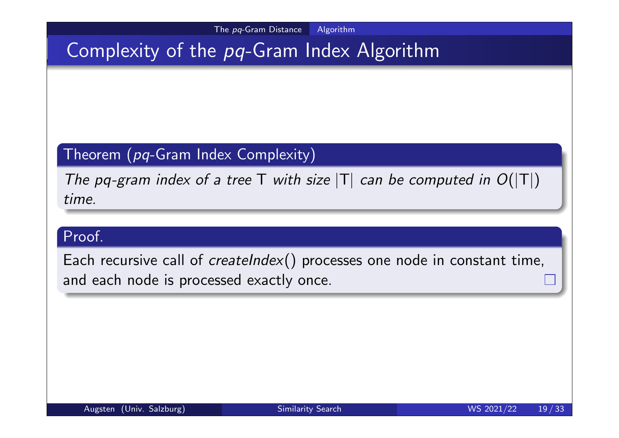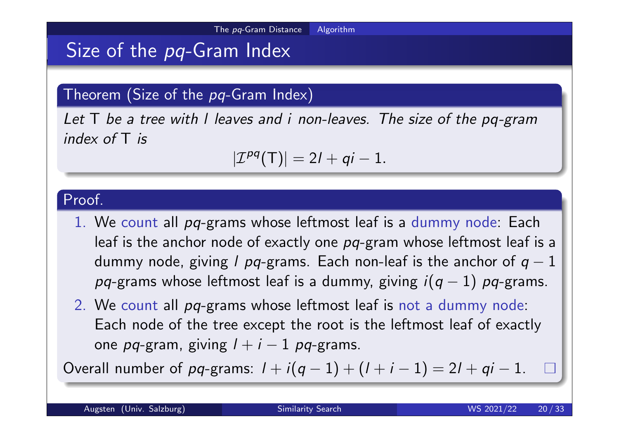# Size of the pq-Gram Index

#### Theorem (Size of the  $pq$ -Gram Index)

Let T be a tree with I leaves and i non-leaves. The size of the pq-gram index of T is

$$
|\mathcal{I}^{pq}(T)|=2l+qi-1.
$$

#### Proof.

- 1. We count all pq-grams whose leftmost leaf is a dummy node: Each leaf is the anchor node of exactly one pq-gram whose leftmost leaf is a dummy node, giving l pq-grams. Each non-leaf is the anchor of  $q-1$ pq-grams whose leftmost leaf is a dummy, giving  $i(q - 1)$  pq-grams.
- 2. We count all pq-grams whose leftmost leaf is not a dummy node: Each node of the tree except the root is the leftmost leaf of exactly one pq-gram, giving  $l + i - 1$  pq-grams.

Overall number of pq-grams:  $1 + i(q - 1) + (1 + i - 1) = 2l + qi - 1$ .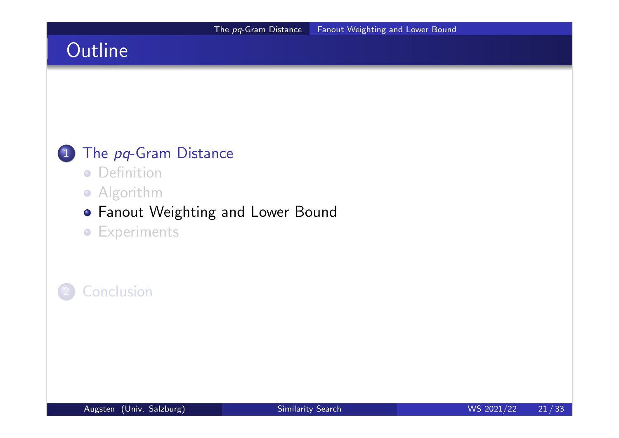# **Outline**

## 1 The pq-Gram Distance

- **•** Definition
- **•** Algorithm

#### Fanout Weighting and Lower Bound

**•** Experiments

## **Conclusion**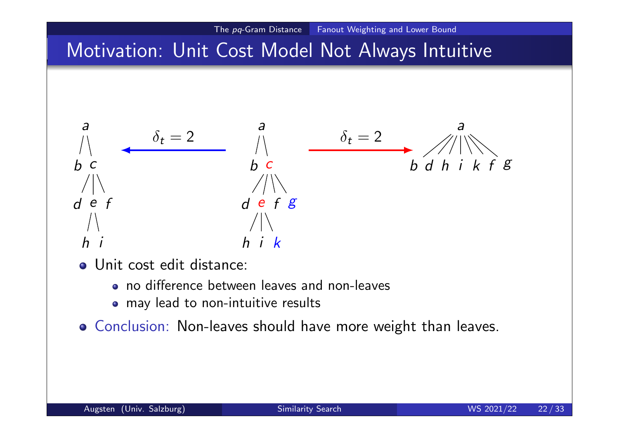# Motivation: Unit Cost Model Not Always Intuitive

The pq-Gram Distance Fanout Weighting and Lower Bound

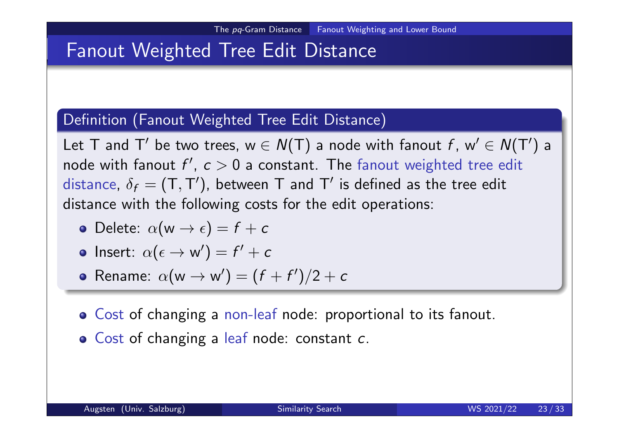## Fanout Weighted Tree Edit Distance

#### Definition (Fanout Weighted Tree Edit Distance)

Let T and T' be two trees,  $w \in N(T)$  a node with fanout  $f$ ,  $w' \in N(T')$  a node with fanout  $f',\ c>0$  a constant. The fanout weighted tree edit distance,  $\delta_f = (\mathsf{T}, \mathsf{T}')$ , between  $\mathsf T$  and  $\mathsf T'$  is defined as the tree edit distance with the following costs for the edit operations:

- Delete:  $\alpha(w \rightarrow \epsilon) = f + c$
- **Insert**:  $\alpha(\epsilon \to w') = f' + c$
- Rename:  $\alpha(w \rightarrow w') = (f + f')/2 + c$
- Cost of changing a non-leaf node: proportional to its fanout.
- **o** Cost of changing a leaf node: constant c.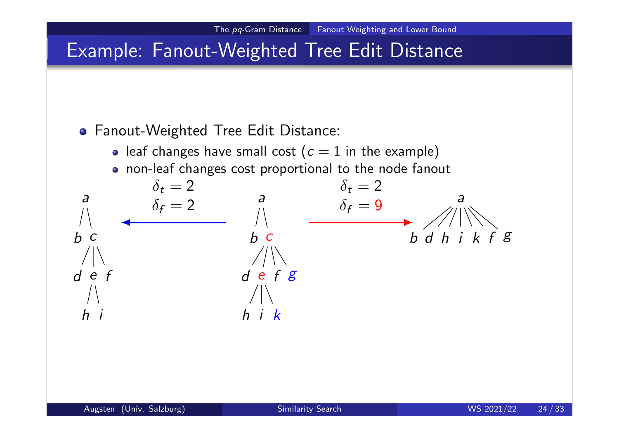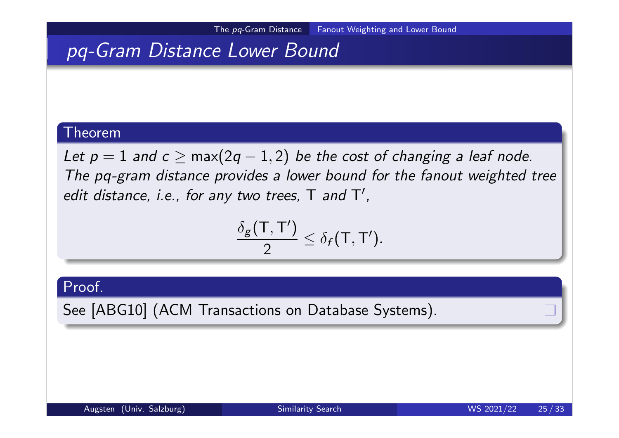## pq-Gram Distance Lower Bound

#### Theorem

Let  $p = 1$  and  $c \ge \max(2q - 1, 2)$  be the cost of changing a leaf node. The pq-gram distance provides a lower bound for the fanout weighted tree edit distance, i.e., for any two trees,  $T$  and  $T'$ ,

$$
\frac{\delta_g(\mathsf{T},\mathsf{T}')}{2}\leq \delta_f(\mathsf{T},\mathsf{T}').
$$

Proof.

See [ABG10] (ACM Transactions on Database Systems).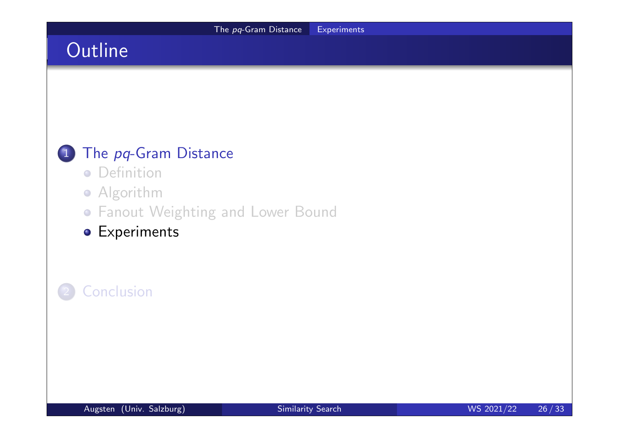# **Outline**

## 1 The pq-Gram Distance

- **•** Definition
- **•** Algorithm
- Fanout Weighting and Lower Bound
- **•** Experiments

## **Conclusion**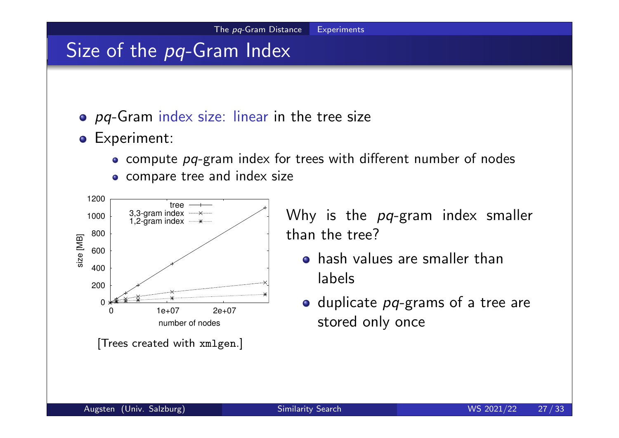## Size of the pq-Gram Index

- o pq-Gram index size: linear in the tree size
- **•** Experiment:
	- compute pq-gram index for trees with different number of nodes
	- compare tree and index size



Why is the pq-gram index smaller than the tree?

- hash values are smaller than labels
- $\bullet$  duplicate  $pq$ -grams of a tree are stored only once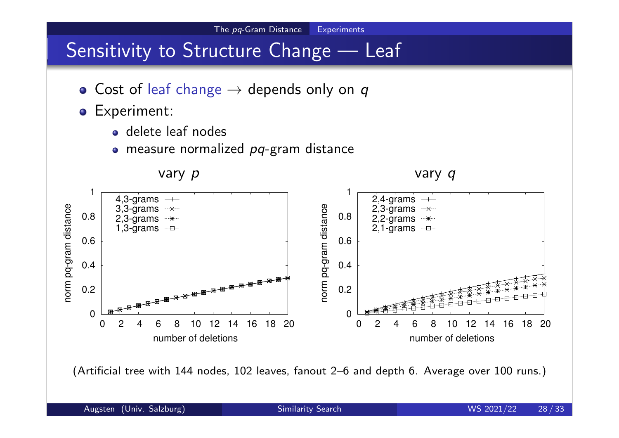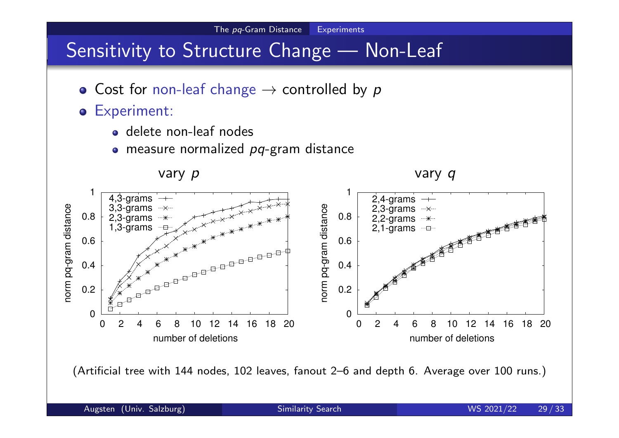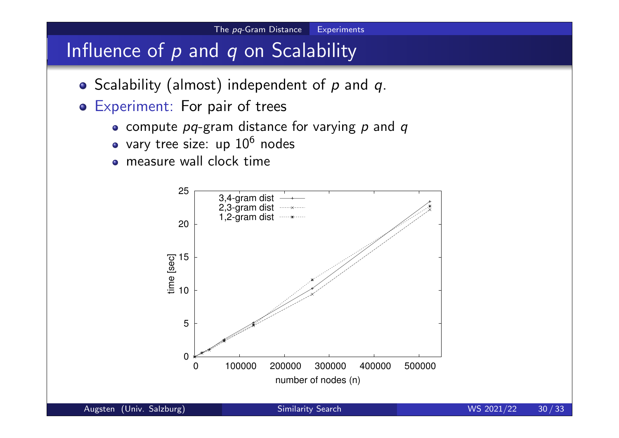## Influence of  $p$  and  $q$  on Scalability

- $\bullet$  Scalability (almost) independent of  $p$  and  $q$ .
- Experiment: For pair of trees
	- compute  $pq$ -gram distance for varying  $p$  and  $q$
	- vary tree size: up  $10^6$  nodes
	- measure wall clock time

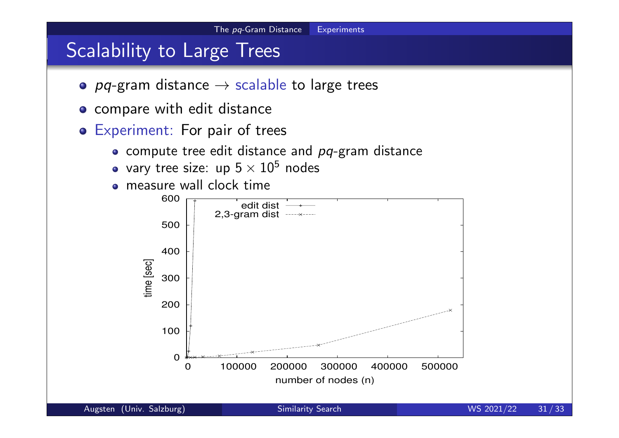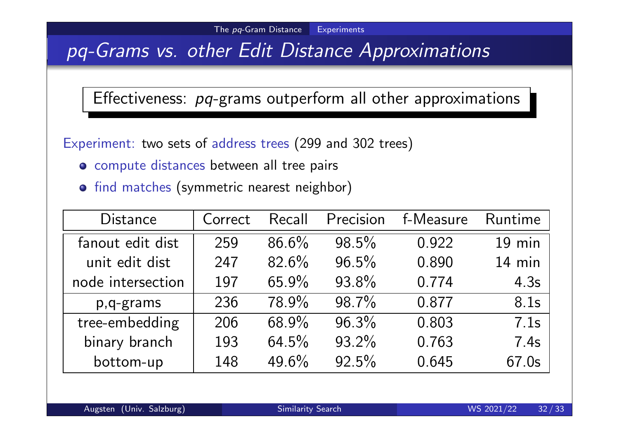## pq-Grams vs. other Edit Distance Approximations

### Effectiveness: pq-grams outperform all other approximations

Experiment: two sets of address trees (299 and 302 trees)

- compute distances between all tree pairs
- **o** find matches (symmetric nearest neighbor)

| <b>Distance</b>   | Correct | Recall   | Precision | f-Measure | Runtime  |
|-------------------|---------|----------|-----------|-----------|----------|
| fanout edit dist  | 259     | $86.6\%$ | $98.5\%$  | 0.922     | $19$ min |
| unit edit dist    | 247     | 82.6%    | $96.5\%$  | 0.890     | $14$ min |
| node intersection | 197     | 65.9%    | 93.8%     | 0.774     | 4.3s     |
| p,q-grams         | 236     | 78.9%    | 98.7%     | 0.877     | 8.1s     |
| tree-embedding    | 206     | 68.9%    | $96.3\%$  | 0.803     | 7.1s     |
| binary branch     | 193     | $64.5\%$ | 93.2%     | 0.763     | 7.4s     |
| bottom-up         | 148     | 49.6%    | $92.5\%$  | 0.645     | 67.0s    |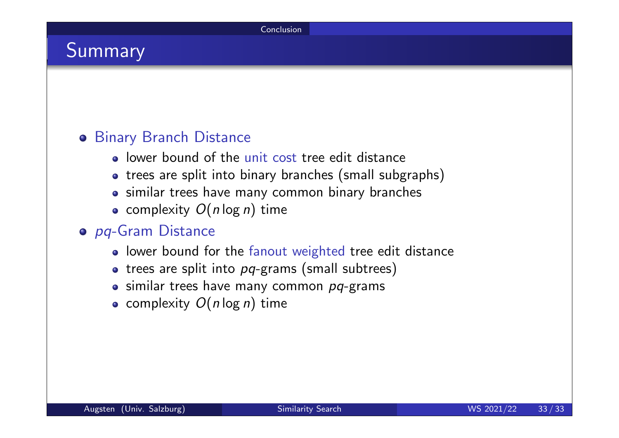## Summary

#### **o** Binary Branch Distance

- lower bound of the unit cost tree edit distance
- trees are split into binary branches (small subgraphs)
- similar trees have many common binary branches
- complexity  $O(n \log n)$  time

#### o pq-Gram Distance

- lower bound for the fanout weighted tree edit distance
- $\bullet$  trees are split into  $pq$ -grams (small subtrees)
- $\bullet$  similar trees have many common  $pq$ -grams
- complexity  $O(n \log n)$  time